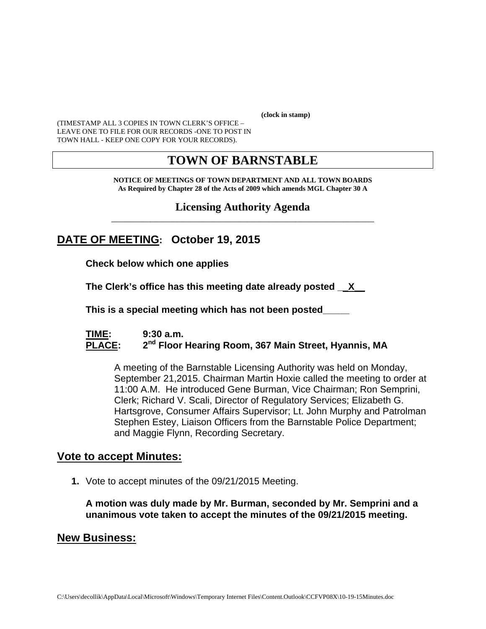**(clock in stamp)** 

(TIMESTAMP ALL 3 COPIES IN TOWN CLERK'S OFFICE – LEAVE ONE TO FILE FOR OUR RECORDS -ONE TO POST IN TOWN HALL - KEEP ONE COPY FOR YOUR RECORDS).

# **TOWN OF BARNSTABLE**

**NOTICE OF MEETINGS OF TOWN DEPARTMENT AND ALL TOWN BOARDS As Required by Chapter 28 of the Acts of 2009 which amends MGL Chapter 30 A** 

**Licensing Authority Agenda** \_\_\_\_\_\_\_\_\_\_\_\_\_\_\_\_\_\_\_\_\_\_\_\_\_\_\_\_\_\_\_\_\_\_\_\_\_\_\_\_\_\_\_\_\_\_\_\_\_\_\_\_\_\_\_\_\_\_\_\_

# **DATE OF MEETING: October 19, 2015**

**Check below which one applies** 

**The Clerk's office has this meeting date already posted \_\_X\_\_**

 **This is a special meeting which has not been posted\_\_\_\_\_** 

#### **TIME: 9:30 a.m.**  PLACE: 2<sup>nd</sup> Floor Hearing Room, 367 Main Street, Hyannis, MA

A meeting of the Barnstable Licensing Authority was held on Monday, September 21,2015. Chairman Martin Hoxie called the meeting to order at 11:00 A.M. He introduced Gene Burman, Vice Chairman; Ron Semprini, Clerk; Richard V. Scali, Director of Regulatory Services; Elizabeth G. Hartsgrove, Consumer Affairs Supervisor; Lt. John Murphy and Patrolman Stephen Estey, Liaison Officers from the Barnstable Police Department; and Maggie Flynn, Recording Secretary.

### **Vote to accept Minutes:**

**1.** Vote to accept minutes of the 09/21/2015 Meeting.

**A motion was duly made by Mr. Burman, seconded by Mr. Semprini and a unanimous vote taken to accept the minutes of the 09/21/2015 meeting.** 

## **New Business:**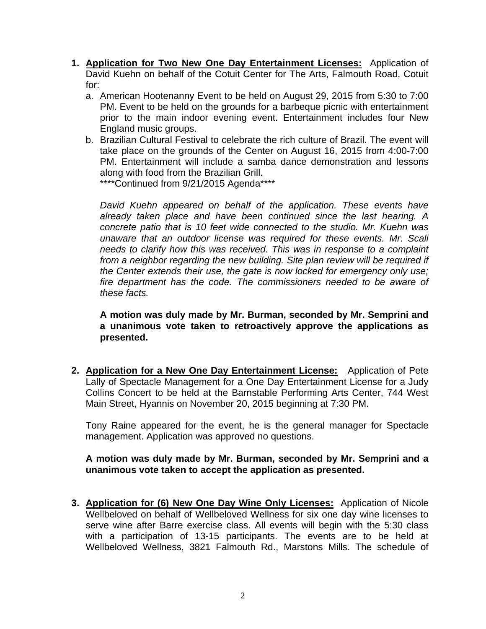- **1. Application for Two New One Day Entertainment Licenses:** Application of David Kuehn on behalf of the Cotuit Center for The Arts, Falmouth Road, Cotuit for:
	- a. American Hootenanny Event to be held on August 29, 2015 from 5:30 to 7:00 PM. Event to be held on the grounds for a barbeque picnic with entertainment prior to the main indoor evening event. Entertainment includes four New England music groups.
	- b. Brazilian Cultural Festival to celebrate the rich culture of Brazil. The event will take place on the grounds of the Center on August 16, 2015 from 4:00-7:00 PM. Entertainment will include a samba dance demonstration and lessons along with food from the Brazilian Grill.

\*\*\*\*Continued from 9/21/2015 Agenda\*\*\*\*

*David Kuehn appeared on behalf of the application. These events have already taken place and have been continued since the last hearing. A concrete patio that is 10 feet wide connected to the studio. Mr. Kuehn was unaware that an outdoor license was required for these events. Mr. Scali needs to clarify how this was received. This was in response to a complaint from a neighbor regarding the new building. Site plan review will be required if the Center extends their use, the gate is now locked for emergency only use; fire department has the code. The commissioners needed to be aware of these facts.* 

**A motion was duly made by Mr. Burman, seconded by Mr. Semprini and a unanimous vote taken to retroactively approve the applications as presented.** 

**2. Application for a New One Day Entertainment License:** Application of Pete Lally of Spectacle Management for a One Day Entertainment License for a Judy Collins Concert to be held at the Barnstable Performing Arts Center, 744 West Main Street, Hyannis on November 20, 2015 beginning at 7:30 PM.

Tony Raine appeared for the event, he is the general manager for Spectacle management. Application was approved no questions.

#### **A motion was duly made by Mr. Burman, seconded by Mr. Semprini and a unanimous vote taken to accept the application as presented.**

**3. Application for (6) New One Day Wine Only Licenses:** Application of Nicole Wellbeloved on behalf of Wellbeloved Wellness for six one day wine licenses to serve wine after Barre exercise class. All events will begin with the 5:30 class with a participation of 13-15 participants. The events are to be held at Wellbeloved Wellness, 3821 Falmouth Rd., Marstons Mills. The schedule of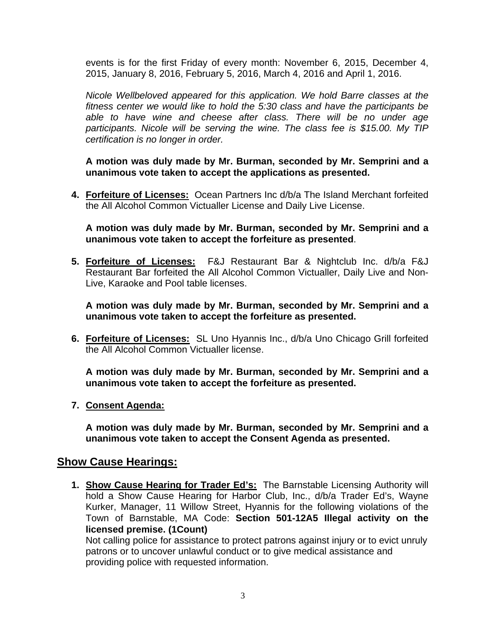events is for the first Friday of every month: November 6, 2015, December 4, 2015, January 8, 2016, February 5, 2016, March 4, 2016 and April 1, 2016.

*Nicole Wellbeloved appeared for this application. We hold Barre classes at the fitness center we would like to hold the 5:30 class and have the participants be able to have wine and cheese after class. There will be no under age participants. Nicole will be serving the wine. The class fee is \$15.00. My TIP certification is no longer in order.* 

**A motion was duly made by Mr. Burman, seconded by Mr. Semprini and a unanimous vote taken to accept the applications as presented.**

**4. Forfeiture of Licenses:** Ocean Partners Inc d/b/a The Island Merchant forfeited the All Alcohol Common Victualler License and Daily Live License.

**A motion was duly made by Mr. Burman, seconded by Mr. Semprini and a unanimous vote taken to accept the forfeiture as presented**.

**5. Forfeiture of Licenses:** F&J Restaurant Bar & Nightclub Inc. d/b/a F&J Restaurant Bar forfeited the All Alcohol Common Victualler, Daily Live and Non-Live, Karaoke and Pool table licenses.

**A motion was duly made by Mr. Burman, seconded by Mr. Semprini and a unanimous vote taken to accept the forfeiture as presented.**

**6. Forfeiture of Licenses:** SL Uno Hyannis Inc., d/b/a Uno Chicago Grill forfeited the All Alcohol Common Victualler license.

**A motion was duly made by Mr. Burman, seconded by Mr. Semprini and a unanimous vote taken to accept the forfeiture as presented.**

**7. Consent Agenda:**

**A motion was duly made by Mr. Burman, seconded by Mr. Semprini and a unanimous vote taken to accept the Consent Agenda as presented.** 

### **Show Cause Hearings:**

**1. Show Cause Hearing for Trader Ed's:** The Barnstable Licensing Authority will hold a Show Cause Hearing for Harbor Club, Inc., d/b/a Trader Ed's, Wayne Kurker, Manager, 11 Willow Street, Hyannis for the following violations of the Town of Barnstable, MA Code: **Section 501-12A5 Illegal activity on the licensed premise. (1Count)** 

Not calling police for assistance to protect patrons against injury or to evict unruly patrons or to uncover unlawful conduct or to give medical assistance and providing police with requested information.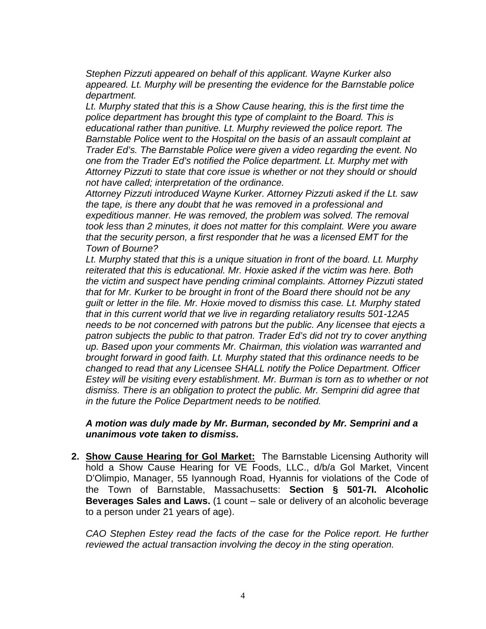*Stephen Pizzuti appeared on behalf of this applicant. Wayne Kurker also appeared. Lt. Murphy will be presenting the evidence for the Barnstable police department.* 

*Lt. Murphy stated that this is a Show Cause hearing, this is the first time the police department has brought this type of complaint to the Board. This is educational rather than punitive. Lt. Murphy reviewed the police report. The Barnstable Police went to the Hospital on the basis of an assault complaint at Trader Ed's. The Barnstable Police were given a video regarding the event. No one from the Trader Ed's notified the Police department. Lt. Murphy met with Attorney Pizzuti to state that core issue is whether or not they should or should not have called; interpretation of the ordinance.* 

*Attorney Pizzuti introduced Wayne Kurker. Attorney Pizzuti asked if the Lt. saw the tape, is there any doubt that he was removed in a professional and expeditious manner. He was removed, the problem was solved. The removal took less than 2 minutes, it does not matter for this complaint. Were you aware that the security person, a first responder that he was a licensed EMT for the Town of Bourne?* 

*Lt. Murphy stated that this is a unique situation in front of the board. Lt. Murphy reiterated that this is educational. Mr. Hoxie asked if the victim was here. Both the victim and suspect have pending criminal complaints. Attorney Pizzuti stated that for Mr. Kurker to be brought in front of the Board there should not be any guilt or letter in the file. Mr. Hoxie moved to dismiss this case. Lt. Murphy stated that in this current world that we live in regarding retaliatory results 501-12A5 needs to be not concerned with patrons but the public. Any licensee that ejects a patron subjects the public to that patron. Trader Ed's did not try to cover anything up. Based upon your comments Mr. Chairman, this violation was warranted and brought forward in good faith. Lt. Murphy stated that this ordinance needs to be changed to read that any Licensee SHALL notify the Police Department. Officer Estey will be visiting every establishment. Mr. Burman is torn as to whether or not dismiss. There is an obligation to protect the public. Mr. Semprini did agree that in the future the Police Department needs to be notified.* 

#### *A motion was duly made by Mr. Burman, seconded by Mr. Semprini and a unanimous vote taken to dismiss.*

**2. Show Cause Hearing for Gol Market:** The Barnstable Licensing Authority will hold a Show Cause Hearing for VE Foods, LLC., d/b/a Gol Market, Vincent D'Olimpio, Manager, 55 Iyannough Road, Hyannis for violations of the Code of the Town of Barnstable, Massachusetts: **Section § 501-7I. Alcoholic Beverages Sales and Laws.** (1 count – sale or delivery of an alcoholic beverage to a person under 21 years of age).

*CAO Stephen Estey read the facts of the case for the Police report. He further reviewed the actual transaction involving the decoy in the sting operation.*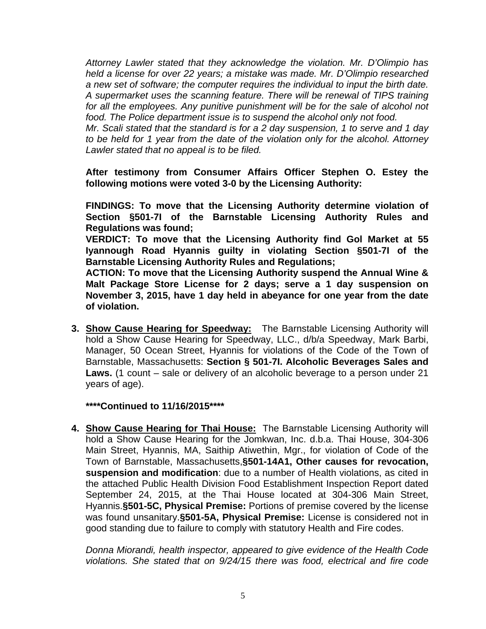*Attorney Lawler stated that they acknowledge the violation. Mr. D'Olimpio has held a license for over 22 years; a mistake was made. Mr. D'Olimpio researched a new set of software; the computer requires the individual to input the birth date. A supermarket uses the scanning feature. There will be renewal of TIPS training for all the employees. Any punitive punishment will be for the sale of alcohol not food. The Police department issue is to suspend the alcohol only not food.* 

*Mr. Scali stated that the standard is for a 2 day suspension, 1 to serve and 1 day to be held for 1 year from the date of the violation only for the alcohol. Attorney Lawler stated that no appeal is to be filed.* 

**After testimony from Consumer Affairs Officer Stephen O. Estey the following motions were voted 3-0 by the Licensing Authority:** 

**FINDINGS: To move that the Licensing Authority determine violation of Section §501-7I of the Barnstable Licensing Authority Rules and Regulations was found;** 

**VERDICT: To move that the Licensing Authority find Gol Market at 55 Iyannough Road Hyannis guilty in violating Section §501-7I of the Barnstable Licensing Authority Rules and Regulations;** 

**ACTION: To move that the Licensing Authority suspend the Annual Wine & Malt Package Store License for 2 days; serve a 1 day suspension on November 3, 2015, have 1 day held in abeyance for one year from the date of violation.** 

**3. Show Cause Hearing for Speedway:** The Barnstable Licensing Authority will hold a Show Cause Hearing for Speedway, LLC., d/b/a Speedway, Mark Barbi, Manager, 50 Ocean Street, Hyannis for violations of the Code of the Town of Barnstable, Massachusetts: **Section § 501-7I. Alcoholic Beverages Sales and Laws.** (1 count – sale or delivery of an alcoholic beverage to a person under 21 years of age).

**\*\*\*\*Continued to 11/16/2015\*\*\*\*** 

**4. Show Cause Hearing for Thai House:** The Barnstable Licensing Authority will hold a Show Cause Hearing for the Jomkwan, Inc. d.b.a. Thai House, 304-306 Main Street, Hyannis, MA, Saithip Atiwethin, Mgr., for violation of Code of the Town of Barnstable, Massachusetts,**§501-14A1, Other causes for revocation, suspension and modification**: due to a number of Health violations, as cited in the attached Public Health Division Food Establishment Inspection Report dated September 24, 2015, at the Thai House located at 304-306 Main Street, Hyannis.**§501-5C, Physical Premise:** Portions of premise covered by the license was found unsanitary.**§501-5A, Physical Premise:** License is considered not in good standing due to failure to comply with statutory Health and Fire codes.

*Donna Miorandi, health inspector, appeared to give evidence of the Health Code violations. She stated that on 9/24/15 there was food, electrical and fire code*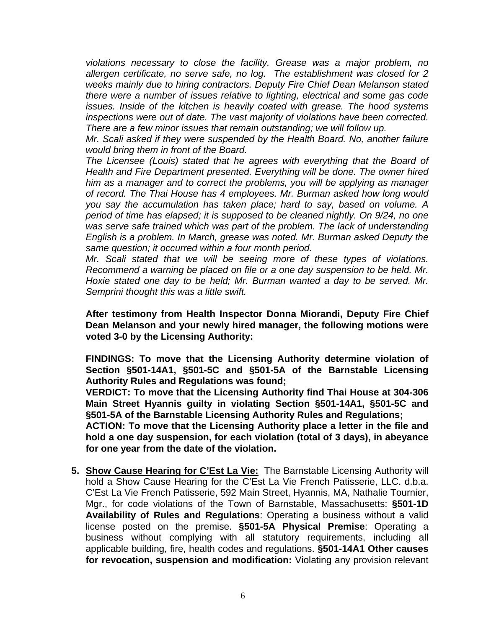*violations necessary to close the facility. Grease was a major problem, no allergen certificate, no serve safe, no log. The establishment was closed for 2 weeks mainly due to hiring contractors. Deputy Fire Chief Dean Melanson stated there were a number of issues relative to lighting, electrical and some gas code issues. Inside of the kitchen is heavily coated with grease. The hood systems inspections were out of date. The vast majority of violations have been corrected. There are a few minor issues that remain outstanding; we will follow up.* 

*Mr. Scali asked if they were suspended by the Health Board. No, another failure would bring them in front of the Board.* 

*The Licensee (Louis) stated that he agrees with everything that the Board of Health and Fire Department presented. Everything will be done. The owner hired him as a manager and to correct the problems, you will be applying as manager of record. The Thai House has 4 employees. Mr. Burman asked how long would you say the accumulation has taken place; hard to say, based on volume. A period of time has elapsed; it is supposed to be cleaned nightly. On 9/24, no one was serve safe trained which was part of the problem. The lack of understanding English is a problem. In March, grease was noted. Mr. Burman asked Deputy the same question; it occurred within a four month period.* 

*Mr. Scali stated that we will be seeing more of these types of violations. Recommend a warning be placed on file or a one day suspension to be held. Mr. Hoxie stated one day to be held; Mr. Burman wanted a day to be served. Mr. Semprini thought this was a little swift.* 

**After testimony from Health Inspector Donna Miorandi, Deputy Fire Chief Dean Melanson and your newly hired manager, the following motions were voted 3-0 by the Licensing Authority:** 

**FINDINGS: To move that the Licensing Authority determine violation of Section §501-14A1, §501-5C and §501-5A of the Barnstable Licensing Authority Rules and Regulations was found;** 

**VERDICT: To move that the Licensing Authority find Thai House at 304-306 Main Street Hyannis guilty in violating Section §501-14A1, §501-5C and §501-5A of the Barnstable Licensing Authority Rules and Regulations;** 

**ACTION: To move that the Licensing Authority place a letter in the file and hold a one day suspension, for each violation (total of 3 days), in abeyance for one year from the date of the violation.** 

**5. Show Cause Hearing for C'Est La Vie:** The Barnstable Licensing Authority will hold a Show Cause Hearing for the C'Est La Vie French Patisserie, LLC. d.b.a. C'Est La Vie French Patisserie, 592 Main Street, Hyannis, MA, Nathalie Tournier, Mgr., for code violations of the Town of Barnstable, Massachusetts: **§501-1D Availability of Rules and Regulations**: Operating a business without a valid license posted on the premise. **§501-5A Physical Premise**: Operating a business without complying with all statutory requirements, including all applicable building, fire, health codes and regulations. **§501-14A1 Other causes for revocation, suspension and modification:** Violating any provision relevant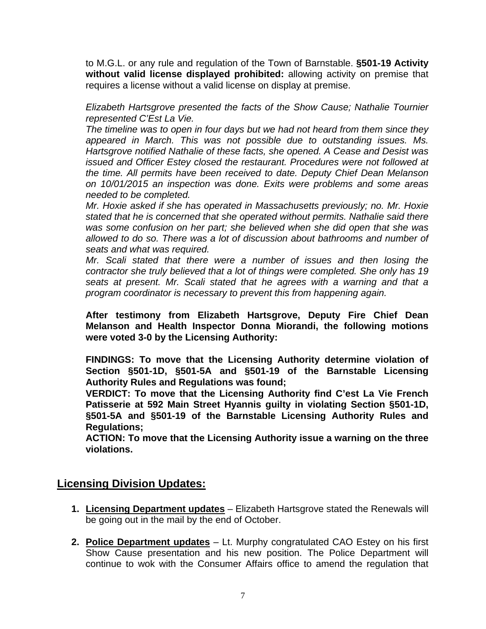to M.G.L. or any rule and regulation of the Town of Barnstable. **§501-19 Activity without valid license displayed prohibited:** allowing activity on premise that requires a license without a valid license on display at premise.

*Elizabeth Hartsgrove presented the facts of the Show Cause; Nathalie Tournier represented C'Est La Vie.* 

*The timeline was to open in four days but we had not heard from them since they appeared in March. This was not possible due to outstanding issues. Ms. Hartsgrove notified Nathalie of these facts, she opened. A Cease and Desist was issued and Officer Estey closed the restaurant. Procedures were not followed at the time. All permits have been received to date. Deputy Chief Dean Melanson on 10/01/2015 an inspection was done. Exits were problems and some areas needed to be completed.* 

*Mr. Hoxie asked if she has operated in Massachusetts previously; no. Mr. Hoxie stated that he is concerned that she operated without permits. Nathalie said there was some confusion on her part; she believed when she did open that she was allowed to do so. There was a lot of discussion about bathrooms and number of seats and what was required.* 

*Mr. Scali stated that there were a number of issues and then losing the contractor she truly believed that a lot of things were completed. She only has 19 seats at present. Mr. Scali stated that he agrees with a warning and that a program coordinator is necessary to prevent this from happening again.* 

**After testimony from Elizabeth Hartsgrove, Deputy Fire Chief Dean Melanson and Health Inspector Donna Miorandi, the following motions were voted 3-0 by the Licensing Authority:** 

**FINDINGS: To move that the Licensing Authority determine violation of Section §501-1D, §501-5A and §501-19 of the Barnstable Licensing Authority Rules and Regulations was found;** 

**VERDICT: To move that the Licensing Authority find C'est La Vie French Patisserie at 592 Main Street Hyannis guilty in violating Section §501-1D, §501-5A and §501-19 of the Barnstable Licensing Authority Rules and Regulations;** 

**ACTION: To move that the Licensing Authority issue a warning on the three violations.** 

## **Licensing Division Updates:**

- **1. Licensing Department updates** Elizabeth Hartsgrove stated the Renewals will be going out in the mail by the end of October.
- **2. Police Department updates** Lt. Murphy congratulated CAO Estey on his first Show Cause presentation and his new position. The Police Department will continue to wok with the Consumer Affairs office to amend the regulation that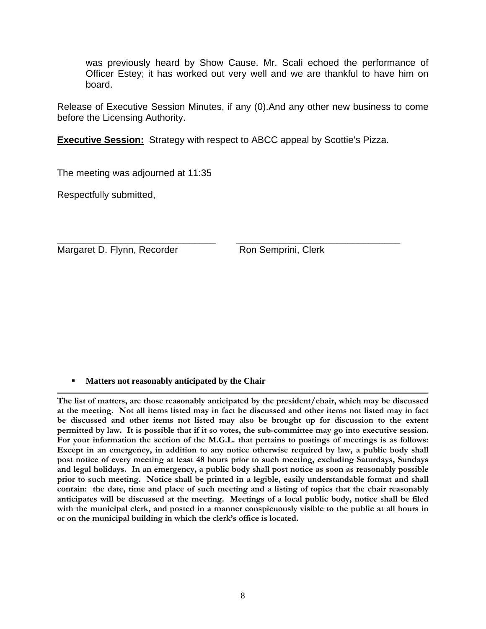was previously heard by Show Cause. Mr. Scali echoed the performance of Officer Estey; it has worked out very well and we are thankful to have him on board.

Release of Executive Session Minutes, if any (0).And any other new business to come before the Licensing Authority.

**Executive Session:** Strategy with respect to ABCC appeal by Scottie's Pizza.

\_\_\_\_\_\_\_\_\_\_\_\_\_\_\_\_\_\_\_\_\_\_\_\_\_\_\_\_\_\_ \_\_\_\_\_\_\_\_\_\_\_\_\_\_\_\_\_\_\_\_\_\_\_\_\_\_\_\_\_\_\_

The meeting was adjourned at 11:35

Respectfully submitted,

Margaret D. Flynn, Recorder Ron Semprini, Clerk

#### **Matters not reasonably anticipated by the Chair**

**The list of matters, are those reasonably anticipated by the president/chair, which may be discussed at the meeting. Not all items listed may in fact be discussed and other items not listed may in fact be discussed and other items not listed may also be brought up for discussion to the extent permitted by law. It is possible that if it so votes, the sub-committee may go into executive session. For your information the section of the M.G.L. that pertains to postings of meetings is as follows: Except in an emergency, in addition to any notice otherwise required by law, a public body shall post notice of every meeting at least 48 hours prior to such meeting, excluding Saturdays, Sundays and legal holidays. In an emergency, a public body shall post notice as soon as reasonably possible prior to such meeting. Notice shall be printed in a legible, easily understandable format and shall contain: the date, time and place of such meeting and a listing of topics that the chair reasonably anticipates will be discussed at the meeting. Meetings of a local public body, notice shall be filed with the municipal clerk, and posted in a manner conspicuously visible to the public at all hours in or on the municipal building in which the clerk's office is located.**